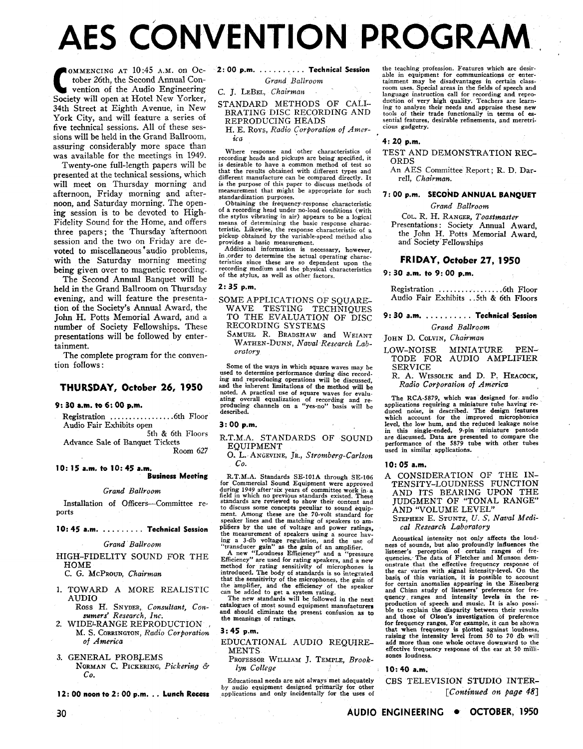# **AES CONVENTION PROGRAM**

**COMMENCING AT 10:45 A.M. ON October 26th, the Second Annual Convention of the Audio Engineering** tober 26th, the Second Annual Con-Society will open at Hotel New Yorker, 34th Street at Eighth Avenue, in New York City, and will feature a series of five technical sessions. All of these sessions will be held in the Grand Ballroom, assuring considerably more space than was available for the meetings in 1949.

Twenty-one full-length papers will be presented at the technical sessions, which will meet on Thursday morning and afternoon, Friday morning and afternoon, and Saturday morning. The opening session is to be devoted to High-Fidelity Sound for the Home, and offers three papers ; the Thursday 'afternoon session and the two on Friday are devoted to miscellaneous 'audio problems, with the Saturday morning meeting being given over to magnetic recording.

The Second Annual Banquet will be held in the Grand Ballroom on Thursday evening, and will feature the presentation of the Society's Annual Award, the John H. Potts Memorial Award, and a number of Society Fellowships. These presentations will be followed by entertainment.

The complete program for the convention follows :

#### **THURSDAY, October 26, 1950**

#### **9: 30 a.m. to 6: 00 p.m.**

Registration . . . . . . . . . . . . . . . . .6th Floor Audio Fair Exhibits open 5th & 6th Floors

Advance Sale of Banquet Tickets Room 627

**10: 15a.m. to 10:45 a.m.** 

#### **Business Meeting**

*Grand Ballroom* 

Installation of Officers-Committee re- ports

#### **10: 45 a.m.** . . . . . . . . . **Technical Session**

*Grand Ballroom* 

HIGH-FIDELITY SOUND FOR THE HOME

C. *G.* MCPROUD, *Chairma%* 

- 1. TOWARD A MORE REALISTIC AUDIO
- Ross H. SNYDER, *Consultant, Con*sumers' Research, Inc.
- 2. WIDE<sup>L</sup>RANGE REPRODUCTION M. S. CORRINGTON, *Radio Corporation of America*
- 3. GENERAL PROBLEMS NORMAN C. PICKERING, *Pickering* 6. *Co.*

**12: 00 noon to 2: 00 p.m.** . . **Lunch Recess** 

### **2: 00 p.m.** . . . . . . . . . . **Technical Session**

#### *Grand Ballroom*

C. J. LEBEL, *Chairman* 

#### STANDARD METHODS OF CALI-BRATING DISC RECORDING AND REPRODUCING HEADS

H. E. ROYS, *Radio Corporation of America* **4: 20 p.m.** 

recording heads and pickups are being specified, it<br>is desirable to have a common method of test so ORDS<br>that the results obtained with different types and An AES Committee Report; R. D. Dardifferent manufacture can be compared directly. It rell, *Chairman.* is the purpose of this paper to discuss methods of measurement that might be appropriate for such standardization purposes.

Obtaining the frequency-response characteristic of a recording head under no-load conditions (with the stylus vibrating in air) appears to he a logical means of determining the basic response characteristic. Likewise, the response characteristic of a pickup obtained by the variable-speed method also provides a basic measurement.

Additional information is necessary, however, in order to determine the actual operating charac-teristics since these are so dependent upon the recording medium and the physical characteristics of the stylus, as well as other factors.

#### $2:35. p.m.$

- SOME APPLICATIONS OF SOUARE-WAVE TESTING TECHNIQUES TO THE EVALUATION OF DISC RECORDING SYSTEMS
	- SAMUEL R. BRADSHAW and WEIANT WATHEN-DUNN, *Naval Research Laboratory*

Some of the ways in which square waves may be used to determine performance during disc recording and reproducing operations will be discussed, and the inherent limitations of the method will be noted. A practical use of square waves for evaluating overall equalization of recording and re- producing channels on a "yes-no" basis will be described.

#### $3:00 p.m.$

R.T.M.A. STANDARDS OF SOUND EQUIPMENT

0. L. ANGEVINE, JR., *Stromberg-Carlson Co.* 

R.T.M.A. Standards SE-101A through SE-106 for Commercial Sound Equipment were approved<br>during 1949 after 'six years of committee work in a<br>field in which no previous standards existed. These standards are reviewed to show their content and to discuss some concepts peculiar to sound equip-<br>ment. Among these are the 70-volt standard for speaker lines and the matching of speakers to am- plifiers by the use of voltage and power ratings, the measurement of speakers using a source having a 3-db voltage regulation, and the use of transducer gain of a manplifier.<br>
"transducer gain" as the gain of an amplifier.<br>
A new "Loudness Efficiency" and a "pressure<br>
Eff

method for rating sensitivity of microphones is<br>introduced. The body of standards is so integrated<br>that the sensitivity of the microphones, the gain of<br>the amplifier, and the efficiency of the speaker<br>can be added to get a

catalogues of most sound equipment manufacturers and should eliminate the present confusion as to the meanings of ratings.

#### $3:45$  p.m.

EDUCATIONAL AUDIO REQUIRE **MENTS** 

PROFESSOR WILLIAM J. TEMPLE, *Brooklyn College* 

Educational needs are not always met adequately by audio equipment designed primarily for other applications and only incidentally for the uses of the teaching profession. Features which are desir-<br>able in equipment for communications or enter-<br>tainment may be disadvantages in certain class-<br>room uses. Special areas in the fields of speech and language instruction call for recording and reproduction of very high quality. Teachers are learning to analyze their treeds and appraise these new tools of their trade functionally in terms of essential features, desirabl sential features, desirable refinements, and meretricious gadgetry.

## Where response and other characteristics of TEST AND DEMONSTRATION REC-<br>recording heads and pickups are being specified, it

#### **7: 00 p.m. SECOND ANNUAL BANQUET**

*Grand Ballroom* 

COL. R. H. RANGER, *Toastmaster*  Presentations : Society Annual Award, the John H. Potts Memorial Award, and Society Fellowships

#### **FRIDAY, October 27, 1950**

**9: 30 a.m. to 9: 00 p.m.** 

Registration . . . . . . . . . . . . . . . . .6th Floor Audio Fair Exhibits . .5th & 6th Floors

**9: 30 a.m.** . . . . . . . . . . **Technical Session** 

*Grand Ballroom* 

- JOHN D. COLVIN, Chairman LOW-NOISE MINIATURE PEN-TODE FOR AUDIO AMPLIFIER
- SERVICE R. A. WISSOLIK and D. P. HEACOCK, *Radio Corporation of America*

The RCA-5879, which was designed for audio applications requiring a miniature tube having re-duced noise, is described. The design features which account for the improved microphonics level, the low hum, and the reduced leakage noise in this single-ended, 9-pin miniature pentode are discussed. Data are presented to compare the performance of the 5879 tube with other tubes used in similar applications.

#### **10: 05 a.m.**

A CONSIDERATION OF THE IN-TENSITY-LOUDNESS EUNCTION AND ITS BEARING UPON THE JUDGMENT OF "TONAL RANGE" AND "VOLUME LEVEL"

STEPHEN E. STUNTZ, **U.** S, *Naval Medical Research Laboratory* 

Acoustical intensity not only affects the loudness of sounds, but also profoundly influences the listener's perception of certain ranges of frequencies. The data of Fletcher and Munson dem-<br>
intensity response of<br>
the ear varies with signal intensity-level. On the<br>
basis of this variation, it is possible to account for certain anomalies appearing in the Eisenberg<br>and Chinn study of listeners' preference for fre-<br>quency ranges and intensity levels in the re-<br>production of speech and music. It is also possi-<br>ble to explain the disparit and those of Olson's investigation of preference<br>for frequency ranges. For example, it can be shown<br>that when frequency is plotted against loudness,<br>raising the intensity level from 50 to 70 db will<br>add more than one whole effective frequency response of the ear at 50 milllsones loudness.

#### **10: 40 a.m.**

CBS TELEVISION STUDIO INTER- *[Contimed olz page* **481**